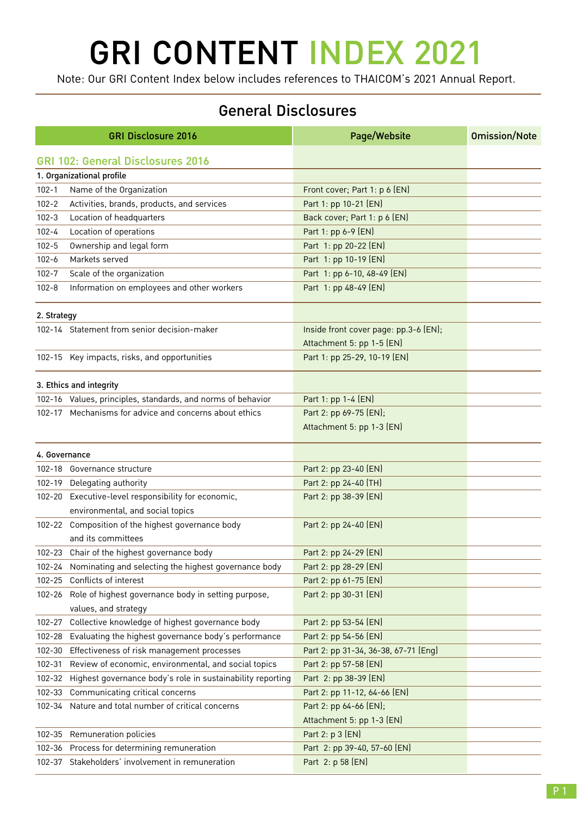## GRI CONTENT INDEX 2021

Note: Our GRI Content Index below includes references to THAICOM's 2021 Annual Report.

## General Disclosures

|               | <b>GRI Disclosure 2016</b>                                  | Page/Website                          | <b>Omission/Note</b> |
|---------------|-------------------------------------------------------------|---------------------------------------|----------------------|
|               | <b>GRI 102: General Disclosures 2016</b>                    |                                       |                      |
|               | 1. Organizational profile                                   |                                       |                      |
| $102 - 1$     | Name of the Organization                                    | Front cover; Part 1: p 6 (EN)         |                      |
| $102 - 2$     | Activities, brands, products, and services                  | Part 1: pp 10-21 (EN)                 |                      |
| $102 - 3$     | Location of headquarters                                    | Back cover; Part 1: p 6 (EN)          |                      |
| $102 - 4$     | Location of operations                                      | Part 1: pp 6-9 (EN)                   |                      |
| $102 - 5$     | Ownership and legal form                                    | Part 1: pp 20-22 (EN)                 |                      |
| $102 - 6$     | Markets served                                              | Part 1: pp 10-19 (EN)                 |                      |
| $102 - 7$     | Scale of the organization                                   | Part 1: pp 6-10, 48-49 (EN)           |                      |
| $102 - 8$     | Information on employees and other workers                  | Part 1: pp 48-49 (EN)                 |                      |
| 2. Strategy   |                                                             |                                       |                      |
|               | 102-14 Statement from senior decision-maker                 | Inside front cover page: pp.3-6 (EN); |                      |
|               |                                                             | Attachment 5: pp 1-5 (EN)             |                      |
|               | 102-15 Key impacts, risks, and opportunities                | Part 1: pp 25-29, 10-19 (EN)          |                      |
|               |                                                             |                                       |                      |
|               | 3. Ethics and integrity                                     |                                       |                      |
|               | 102-16 Values, principles, standards, and norms of behavior | Part 1: pp 1-4 (EN)                   |                      |
|               | 102-17 Mechanisms for advice and concerns about ethics      | Part 2: pp 69-75 (EN);                |                      |
|               |                                                             | Attachment 5: pp 1-3 (EN)             |                      |
| 4. Governance |                                                             |                                       |                      |
|               | 102-18 Governance structure                                 | Part 2: pp 23-40 (EN)                 |                      |
|               | 102-19 Delegating authority                                 | Part 2: pp 24-40 (TH)                 |                      |
|               | 102-20 Executive-level responsibility for economic,         | Part 2: pp 38-39 (EN)                 |                      |
|               | environmental, and social topics                            |                                       |                      |
|               | 102-22 Composition of the highest governance body           | Part 2: pp 24-40 (EN)                 |                      |
|               | and its committees                                          |                                       |                      |
|               | 102-23 Chair of the highest governance body                 | Part 2: pp 24-29 (EN)                 |                      |
|               | 102-24 Nominating and selecting the highest governance body | Part 2: pp 28-29 (EN)                 |                      |
|               | 102-25 Conflicts of interest                                | Part 2: pp 61-75 (EN)                 |                      |
|               | 102-26 Role of highest governance body in setting purpose,  | Part 2: pp 30-31 (EN)                 |                      |
|               | values, and strategy                                        |                                       |                      |
| 102-27        | Collective knowledge of highest governance body             | Part 2: pp 53-54 (EN)                 |                      |
|               | 102-28 Evaluating the highest governance body's performance | Part 2: pp 54-56 (EN)                 |                      |
| 102-30        | Effectiveness of risk management processes                  | Part 2: pp 31-34, 36-38, 67-71 (Eng)  |                      |
| 102-31        | Review of economic, environmental, and social topics        | Part 2: pp 57-58 (EN)                 |                      |
| 102-32        | Highest governance body's role in sustainability reporting  | Part 2: pp 38-39 (EN)                 |                      |
| 102-33        | Communicating critical concerns                             | Part 2: pp 11-12, 64-66 (EN)          |                      |
| 102-34        | Nature and total number of critical concerns                | Part 2: pp 64-66 (EN);                |                      |
|               |                                                             | Attachment 5: pp 1-3 (EN)             |                      |
|               | 102-35 Remuneration policies                                | Part 2: p 3 (EN)                      |                      |
|               | 102-36 Process for determining remuneration                 | Part 2: pp 39-40, 57-60 (EN)          |                      |
|               | 102-37 Stakeholders' involvement in remuneration            | Part 2: p 58 (EN)                     |                      |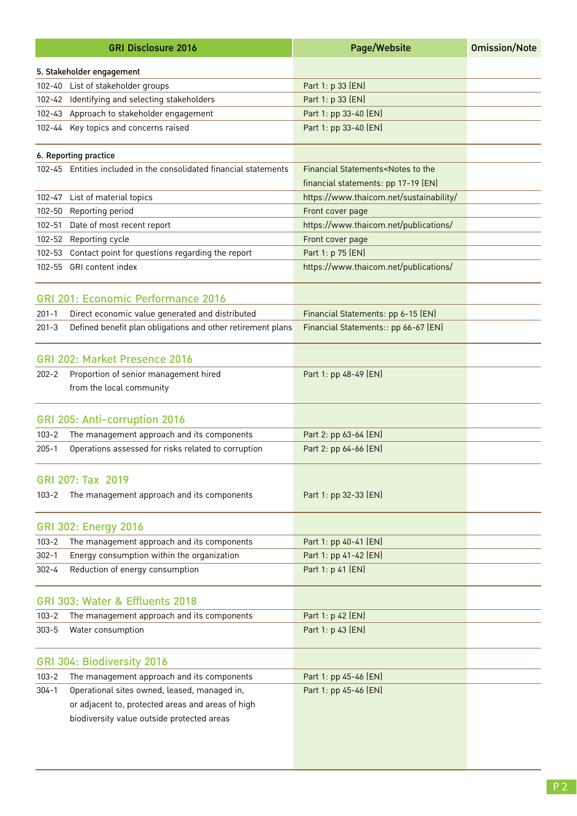|            | <b>GRI Disclosure 2016</b>                                                                      | Page/Website                                                                            | <b>Omission/Note</b> |
|------------|-------------------------------------------------------------------------------------------------|-----------------------------------------------------------------------------------------|----------------------|
|            | 5. Stakeholder engagement                                                                       |                                                                                         |                      |
|            | 102-40 List of stakeholder groups                                                               | Part 1: p 33 (EN)                                                                       |                      |
|            | 102-42 Identifying and selecting stakeholders                                                   | Part 1: p 33 (EN)                                                                       |                      |
|            | 102-43 Approach to stakeholder engagement                                                       | Part 1: pp 33-40 (EN)                                                                   |                      |
|            | 102-44 Key topics and concerns raised                                                           | Part 1: pp 33-40 (EN)                                                                   |                      |
|            | 6. Reporting practice                                                                           |                                                                                         |                      |
|            | 102-45 Entities included in the consolidated financial statements                               | Financial Statements <notes the<br="" to="">financial statements: pp 17-19 (EN)</notes> |                      |
| 102-47     | List of material topics                                                                         | https://www.thaicom.net/sustainability/                                                 |                      |
| 102-50     | Reporting period                                                                                | Front cover page                                                                        |                      |
| $102 - 51$ | Date of most recent report                                                                      | https://www.thaicom.net/publications/                                                   |                      |
|            | 102-52 Reporting cycle                                                                          | Front cover page                                                                        |                      |
| 102-53     | Contact point for questions regarding the report                                                | Part 1: p 75 (EN)                                                                       |                      |
| $102 - 55$ | GRI content index                                                                               | https://www.thaicom.net/publications/                                                   |                      |
|            | <b>GRI 201: Economic Performance 2016</b>                                                       |                                                                                         |                      |
| $201 - 1$  | Direct economic value generated and distributed                                                 | Financial Statements: pp 6-15 (EN)                                                      |                      |
| $201 - 3$  | Defined benefit plan obligations and other retirement plans                                     | Financial Statements:: pp 66-67 (EN)                                                    |                      |
|            | GRI 202: Market Presence 2016                                                                   |                                                                                         |                      |
| $202 - 2$  | Proportion of senior management hired<br>from the local community                               | Part 1: pp 48-49 (EN)                                                                   |                      |
|            | GRI 205: Anti-corruption 2016                                                                   |                                                                                         |                      |
| $103 - 2$  | The management approach and its components                                                      | Part 2: pp 63-64 (EN)                                                                   |                      |
| $205 - 1$  | Operations assessed for risks related to corruption                                             | Part 2: pp 64-66 (EN)                                                                   |                      |
|            | GRI 207: Tax 2019                                                                               |                                                                                         |                      |
| $103 - 2$  | The management approach and its components                                                      | Part 1: pp 32-33 (EN)                                                                   |                      |
|            | <b>GRI 302: Energy 2016</b>                                                                     |                                                                                         |                      |
| $103 - 2$  | The management approach and its components                                                      | Part 1: pp 40-41 (EN)                                                                   |                      |
| $302 - 1$  | Energy consumption within the organization                                                      | Part 1: pp 41-42 (EN)                                                                   |                      |
| $302 - 4$  | Reduction of energy consumption                                                                 | Part 1: p 41 (EN)                                                                       |                      |
|            | GRI 303: Water & Effluents 2018                                                                 |                                                                                         |                      |
| $103 - 2$  | The management approach and its components                                                      | Part 1: p 42 (EN)                                                                       |                      |
| $303 - 5$  | Water consumption                                                                               | Part 1: p 43 (EN)                                                                       |                      |
|            | GRI 304: Biodiversity 2016                                                                      |                                                                                         |                      |
| $103 - 2$  | The management approach and its components                                                      | Part 1: pp 45-46 (EN)                                                                   |                      |
| $304 - 1$  | Operational sites owned, leased, managed in,                                                    | Part 1: pp 45-46 (EN)                                                                   |                      |
|            | or adjacent to, protected areas and areas of high<br>biodiversity value outside protected areas |                                                                                         |                      |
|            |                                                                                                 |                                                                                         |                      |